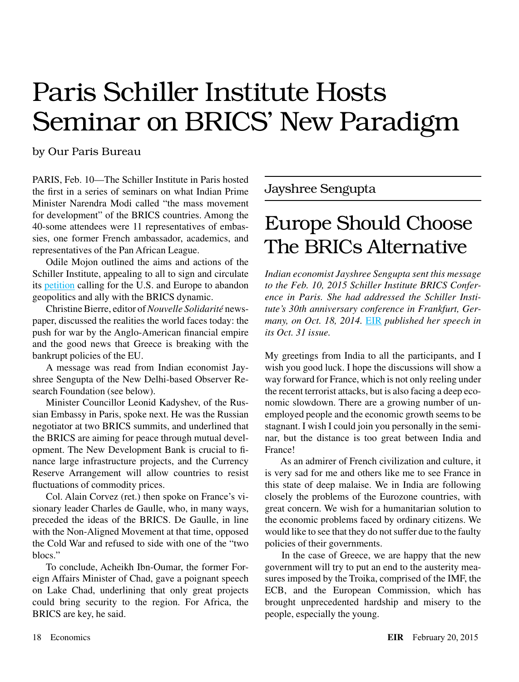# Europe Should Choose The BRICs Alternative

*Indian economist Jayshree Sengupta sent this message to the Feb. 10, 2015 Schiller Institute BRICS Conference in Paris. She had addressed the Schiller Institute's 30th anniversary conference in Frankfurt, Germany, on Oct. 18, 2014.* [EIR](http://www.larouchepub.com/eiw/public/2014/eirv41n43-20141031/27-31_4143.pdf) *published her speech in its Oct. 31 issue.*

My greetings from India to all the participants, and I wish you good luck. I hope the discussions will show a way forward for France, which is not only reeling under the recent terrorist attacks, but is also facing a deep economic slowdown. There are a growing number of unemployed people and the economic growth seems to be stagnant. I wish I could join you personally in the seminar, but the distance is too great between India and France!

 As an admirer of French civilization and culture, it is very sad for me and others like me to see France in this state of deep malaise. We in India are following closely the problems of the Eurozone countries, with great concern. We wish for a humanitarian solution to the economic problems faced by ordinary citizens. We would like to see that they do not suffer due to the faulty policies of their governments.

 In the case of Greece, we are happy that the new government will try to put an end to the austerity measures imposed by the Troika, comprised of the IMF, the ECB, and the European Commission, which has brought unprecedented hardship and misery to the people, especially the young.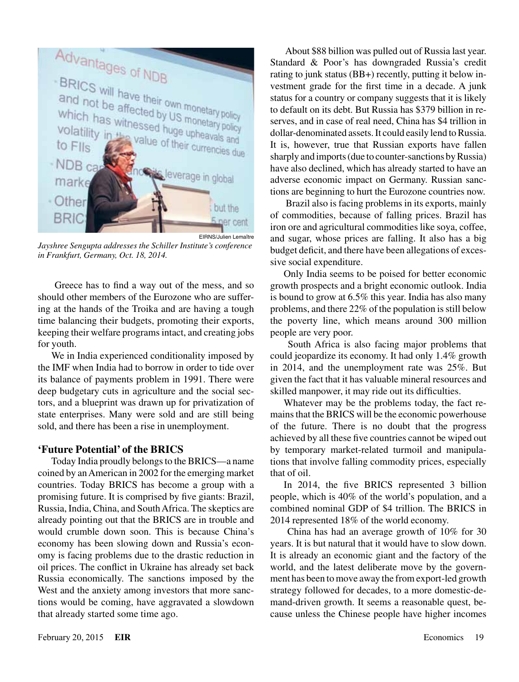

*Jayshree Sengupta addresses the Schiller Institute's conference in Frankfurt, Germany, Oct. 18, 2014.*

 Greece has to find a way out of the mess, and so should other members of the Eurozone who are suffering at the hands of the Troika and are having a tough time balancing their budgets, promoting their exports, keeping their welfare programs intact, and creating jobs for youth.

We in India experienced conditionality imposed by the IMF when India had to borrow in order to tide over its balance of payments problem in 1991. There were deep budgetary cuts in agriculture and the social sectors, and a blueprint was drawn up for privatization of state enterprises. Many were sold and are still being sold, and there has been a rise in unemployment.

### **'Future Potential' of the BRICS**

Today India proudly belongs to the BRICS—a name coined by an American in 2002 for the emerging market countries. Today BRICS has become a group with a promising future. It is comprised by five giants: Brazil, Russia, India, China, and South Africa. The skeptics are already pointing out that the BRICS are in trouble and would crumble down soon. This is because China's economy has been slowing down and Russia's economy is facing problems due to the drastic reduction in oil prices. The conflict in Ukraine has already set back Russia economically. The sanctions imposed by the West and the anxiety among investors that more sanctions would be coming, have aggravated a slowdown that already started some time ago.

 About \$88 billion was pulled out of Russia last year. Standard & Poor's has downgraded Russia's credit rating to junk status (BB+) recently, putting it below investment grade for the first time in a decade. A junk status for a country or company suggests that it is likely to default on its debt. But Russia has \$379 billion in reserves, and in case of real need, China has \$4 trillion in dollar-denominated assets. It could easily lend to Russia. It is, however, true that Russian exports have fallen sharply and imports (due to counter-sanctions by Russia) have also declined, which has already started to have an adverse economic impact on Germany. Russian sanctions are beginning to hurt the Eurozone countries now.

 Brazil also is facing problems in its exports, mainly of commodities, because of falling prices. Brazil has iron ore and agricultural commodities like soya, coffee, and sugar, whose prices are falling. It also has a big budget deficit, and there have been allegations of excessive social expenditure.

Only India seems to be poised for better economic growth prospects and a bright economic outlook. India is bound to grow at 6.5% this year. India has also many problems, and there 22% of the population is still below the poverty line, which means around 300 million people are very poor.

 South Africa is also facing major problems that could jeopardize its economy. It had only 1.4% growth in 2014, and the unemployment rate was 25%. But given the fact that it has valuable mineral resources and skilled manpower, it may ride out its difficulties.

Whatever may be the problems today, the fact remains that the BRICS will be the economic powerhouse of the future. There is no doubt that the progress achieved by all these five countries cannot be wiped out by temporary market-related turmoil and manipulations that involve falling commodity prices, especially that of oil.

In 2014, the five BRICS represented 3 billion people, which is 40% of the world's population, and a combined nominal GDP of \$4 trillion. The BRICS in 2014 represented 18% of the world economy.

 China has had an average growth of 10% for 30 years. It is but natural that it would have to slow down. It is already an economic giant and the factory of the world, and the latest deliberate move by the government has been to move away the from export-led growth strategy followed for decades, to a more domestic-demand-driven growth. It seems a reasonable quest, because unless the Chinese people have higher incomes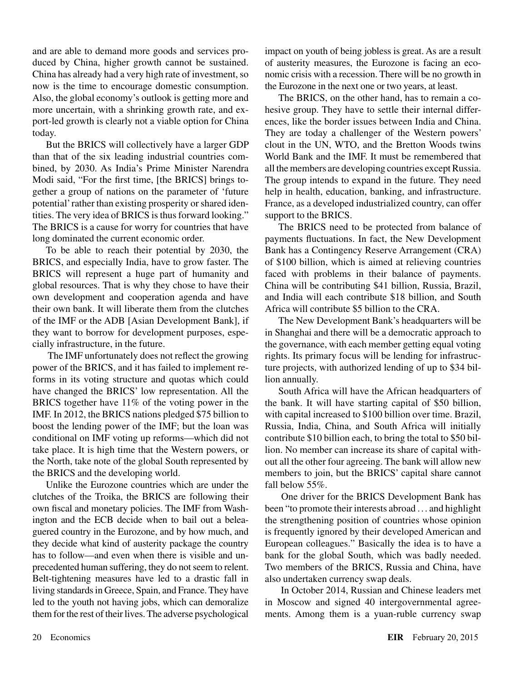and are able to demand more goods and services produced by China, higher growth cannot be sustained. China has already had a very high rate of investment, so now is the time to encourage domestic consumption. Also, the global economy's outlook is getting more and more uncertain, with a shrinking growth rate, and export-led growth is clearly not a viable option for China today.

But the BRICS will collectively have a larger GDP than that of the six leading industrial countries combined, by 2030. As India's Prime Minister Narendra Modi said, "For the first time, [the BRICS] brings together a group of nations on the parameter of 'future potential' rather than existing prosperity or shared identities. The very idea of BRICS is thus forward looking." The BRICS is a cause for worry for countries that have long dominated the current economic order.

To be able to reach their potential by 2030, the BRICS, and especially India, have to grow faster. The BRICS will represent a huge part of humanity and global resources. That is why they chose to have their own development and cooperation agenda and have their own bank. It will liberate them from the clutches of the IMF or the ADB [Asian Development Bank], if they want to borrow for development purposes, especially infrastructure, in the future.

 The IMF unfortunately does not reflect the growing power of the BRICS, and it has failed to implement reforms in its voting structure and quotas which could have changed the BRICS' low representation. All the BRICS together have 11% of the voting power in the IMF. In 2012, the BRICS nations pledged \$75 billion to boost the lending power of the IMF; but the loan was conditional on IMF voting up reforms—which did not take place. It is high time that the Western powers, or the North, take note of the global South represented by the BRICS and the developing world.

Unlike the Eurozone countries which are under the clutches of the Troika, the BRICS are following their own fiscal and monetary policies. The IMF from Washington and the ECB decide when to bail out a beleaguered country in the Eurozone, and by how much, and they decide what kind of austerity package the country has to follow—and even when there is visible and unprecedented human suffering, they do not seem to relent. Belt-tightening measures have led to a drastic fall in living standards in Greece, Spain, and France. They have led to the youth not having jobs, which can demoralize them for the rest of their lives. The adverse psychological impact on youth of being jobless is great. As are a result of austerity measures, the Eurozone is facing an economic crisis with a recession. There will be no growth in the Eurozone in the next one or two years, at least.

The BRICS, on the other hand, has to remain a cohesive group. They have to settle their internal differences, like the border issues between India and China. They are today a challenger of the Western powers' clout in the UN, WTO, and the Bretton Woods twins World Bank and the IMF. It must be remembered that all the members are developing countries except Russia. The group intends to expand in the future. They need help in health, education, banking, and infrastructure. France, as a developed industrialized country, can offer support to the BRICS.

The BRICS need to be protected from balance of payments fluctuations. In fact, the New Development Bank has a Contingency Reserve Arrangement (CRA) of \$100 billion, which is aimed at relieving countries faced with problems in their balance of payments. China will be contributing \$41 billion, Russia, Brazil, and India will each contribute \$18 billion, and South Africa will contribute \$5 billion to the CRA.

The New Development Bank's headquarters will be in Shanghai and there will be a democratic approach to the governance, with each member getting equal voting rights. Its primary focus will be lending for infrastructure projects, with authorized lending of up to \$34 billion annually.

South Africa will have the African headquarters of the bank. It will have starting capital of \$50 billion, with capital increased to \$100 billion over time. Brazil, Russia, India, China, and South Africa will initially contribute \$10 billion each, to bring the total to \$50 billion. No member can increase its share of capital without all the other four agreeing. The bank will allow new members to join, but the BRICS' capital share cannot fall below 55%.

 One driver for the BRICS Development Bank has been "to promote their interests abroad .. . and highlight the strengthening position of countries whose opinion is frequently ignored by their developed American and European colleagues." Basically the idea is to have a bank for the global South, which was badly needed. Two members of the BRICS, Russia and China, have also undertaken currency swap deals.

 In October 2014, Russian and Chinese leaders met in Moscow and signed 40 intergovernmental agreements. Among them is a yuan-ruble currency swap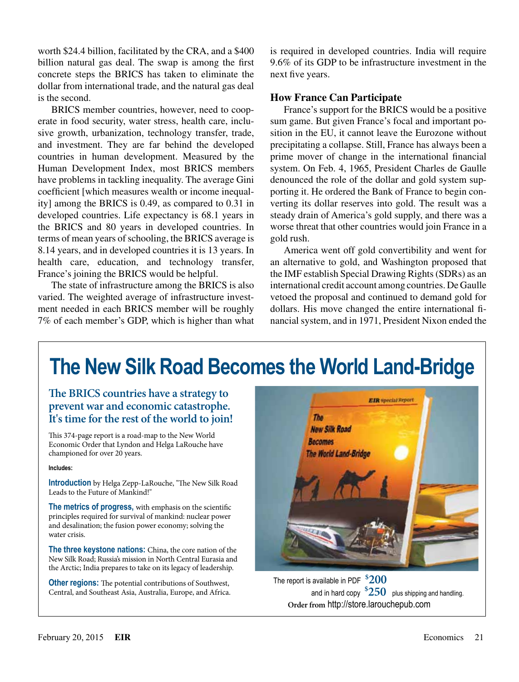worth \$24.4 billion, facilitated by the CRA, and a \$400 billion natural gas deal. The swap is among the first concrete steps the BRICS has taken to eliminate the dollar from international trade, and the natural gas deal is the second.

BRICS member countries, however, need to cooperate in food security, water stress, health care, inclusive growth, urbanization, technology transfer, trade, and investment. They are far behind the developed countries in human development. Measured by the Human Development Index, most BRICS members have problems in tackling inequality. The average Gini coefficient [which measures wealth or income inequality] among the BRICS is 0.49, as compared to 0.31 in developed countries. Life expectancy is 68.1 years in the BRICS and 80 years in developed countries. In terms of mean years of schooling, the BRICS average is 8.14 years, and in developed countries it is 13 years. In health care, education, and technology transfer, France's joining the BRICS would be helpful.

The state of infrastructure among the BRICS is also varied. The weighted average of infrastructure investment needed in each BRICS member will be roughly 7% of each member's GDP, which is higher than what is required in developed countries. India will require 9.6% of its GDP to be infrastructure investment in the next five years.

### **How France Can Participate**

France's support for the BRICS would be a positive sum game. But given France's focal and important position in the EU, it cannot leave the Eurozone without precipitating a collapse. Still, France has always been a prime mover of change in the international financial system. On Feb. 4, 1965, President Charles de Gaulle denounced the role of the dollar and gold system supporting it. He ordered the Bank of France to begin converting its dollar reserves into gold. The result was a steady drain of America's gold supply, and there was a worse threat that other countries would join France in a gold rush.

America went off gold convertibility and went for an alternative to gold, and Washington proposed that the IMF establish Special Drawing Rights (SDRs) as an international credit account among countries. De Gaulle vetoed the proposal and continued to demand gold for dollars. His move changed the entire international financial system, and in 1971, President Nixon ended the

# **The New Silk Road Becomes the World Land-Bridge**

**The BRICS countries have a strategy to prevent war and economic catastrophe. It's time for the rest of the world to join!**

This 374-page report is a road-map to the New World Economic Order that Lyndon and Helga LaRouche have championed for over 20 years.

#### **Includes:**

**Introduction** by Helga Zepp-LaRouche, "The New Silk Road Leads to the Future of Mankind!"

**The metrics of progress,** with emphasis on the scientific principles required for survival of mankind: nuclear power and desalination; the fusion power economy; solving the water crisis.

**The three keystone nations:** China, the core nation of the New Silk Road; Russia's mission in North Central Eurasia and the Arctic; India prepares to take on its legacy of leadership.

**Other regions:** The potential contributions of Southwest, Central, and Southeast Asia, Australia, Europe, and Africa.



The report is available in PDF **\$ 200** and in hard copy  $^{\$}250~\,$  plus shipping and handling. **Order from** http://store.larouchepub.com